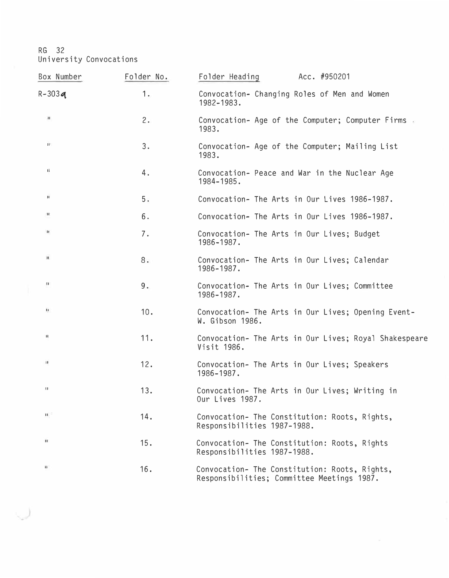| Box Number                     | Folder No. | Acc. #950201<br>Folder Heading                                                              |
|--------------------------------|------------|---------------------------------------------------------------------------------------------|
| $R - 303q$                     | 1.         | Convocation- Changing Roles of Men and Women<br>1982-1983.                                  |
| $\left\vert \cdot \right\vert$ | 2.         | Convocation- Age of the Computer; Computer Firms<br>1983.                                   |
| 11                             | 3.         | Convocation- Age of the Computer; Mailing List<br>1983.                                     |
| $\mathbf{H}$                   | 4.         | Convocation- Peace and War in the Nuclear Age<br>1984-1985.                                 |
| н                              | 5.         | Convocation- The Arts in Our Lives 1986-1987.                                               |
| $\mathbf{H}$                   | 6.         | Convocation- The Arts in Our Lives 1986-1987.                                               |
| It.                            | 7.         | Convocation- The Arts in Our Lives; Budget<br>1986-1987.                                    |
| п                              | 8.         | Convocation- The Arts in Our Lives; Calendar<br>1986-1987.                                  |
| $\overline{\mathbf{u}}$        | 9.         | Convocation- The Arts in Our Lives; Committee<br>1986-1987.                                 |
| D.                             | 10.        | Convocation- The Arts in Our Lives; Opening Event-<br>W. Gibson 1986.                       |
| п                              | 11.        | Convocation- The Arts in Our Lives; Royal Shakespeare<br>Visit 1986.                        |
| $\mathbf{H}$                   | 12.        | Convocation- The Arts in Our Lives; Speakers<br>1986-1987.                                  |
| $\mathbf{1}$                   | 13.        | Convocation- The Arts in Our Lives; Writing in<br>Our Lives 1987.                           |
| $\mathbf{H}^{-1}$              | 14.        | Convocation- The Constitution: Roots, Rights,<br>Responsibilities 1987-1988.                |
| $\mathbf{H}$                   | 15.        | Convocation- The Constitution: Roots, Rights<br>Responsibilities 1987-1988.                 |
| $\pmb{\mathfrak{g}}$           | 16.        | Convocation- The Constitution: Roots, Rights,<br>Responsibilities; Committee Meetings 1987. |

ل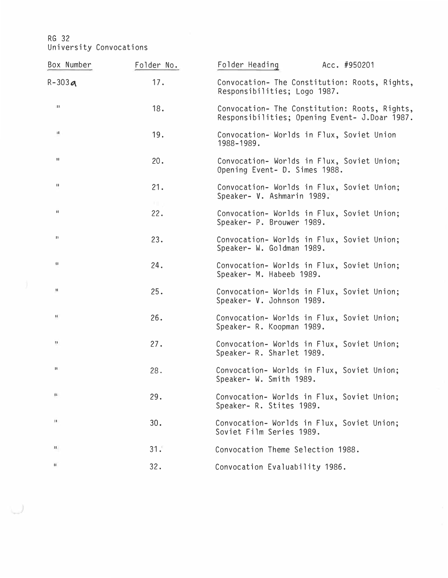| Box Number                                                 | Folder No.   | Folder Heading<br>Acc. #950201                                                                 |
|------------------------------------------------------------|--------------|------------------------------------------------------------------------------------------------|
| $R-303a$                                                   | 17.          | Convocation- The Constitution: Roots, Rights,<br>Responsibilities; Logo 1987.                  |
| $\begin{array}{c} \textcolor{red}{\textbf{1}} \end{array}$ | 18.          | Convocation- The Constitution: Roots, Rights,<br>Responsibilities; Opening Event- J.Doar 1987. |
| H                                                          | 19.          | Convocation-Worlds in Flux, Soviet Union<br>1988-1989.                                         |
| $\pmb{\text{II}}$                                          | 20.          | Convocation- Worlds in Flux, Soviet Union;<br>Opening Event- D. Simes 1988.                    |
| $\mathbf{u}$                                               | 21.<br>$X =$ | Convocation- Worlds in Flux, Soviet Union;<br>Speaker- V. Ashmarin 1989.                       |
| $\mathbf{H}$                                               | 22.          | Convocation- Worlds in Flux, Soviet Union;<br>Speaker- P. Brouwer 1989.                        |
| и                                                          | 23.          | Convocation- Worlds in Flux, Soviet Union;<br>Speaker- W. Goldman 1989.                        |
| $\mathbf{H}$                                               | 24.          | Convocation- Worlds in Flux, Soviet Union;<br>Speaker- M. Habeeb 1989.                         |
| и                                                          | 25.          | Convocation- Worlds in Flux, Soviet Union;<br>Speaker- V. Johnson 1989.                        |
| и                                                          | 26.          | Convocation- Worlds in Flux, Soviet Union;<br>Speaker- R. Koopman 1989.                        |
| $\begin{array}{c} \textbf{11} \end{array}$                 | 27.          | Convocation- Worlds in Flux, Soviet Union;<br>Speaker- R. Sharlet 1989.                        |
| н                                                          | 28.          | Convocation- Worlds in Flux, Soviet Union;<br>Speaker- W. Smith 1989.                          |
| $\mathbf{u}$                                               | 29.          | Convocation- Worlds in Flux, Soviet Union;<br>Speaker- R. Stites 1989.                         |
| $\mathbf{H}$                                               | 30.          | Convocation- Worlds in Flux, Soviet Union;<br>Soviet Film Series 1989.                         |
| Ш.                                                         | 31.          | Convocation Theme Selection 1988.                                                              |
| $\mathbf{H}$                                               | 32.          | Convocation Evaluability 1986.                                                                 |

U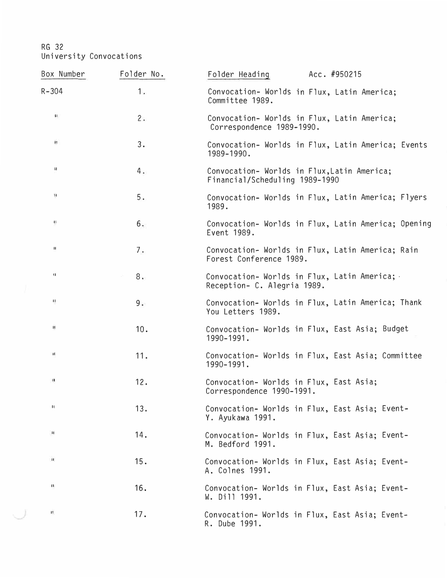$\cup$ 

| Box Number                                              | Folder No. | Folder Heading<br>Acc. #950215                                                |
|---------------------------------------------------------|------------|-------------------------------------------------------------------------------|
| $R - 304$                                               | 1.         | Convocation- Worlds in Flux, Latin America;<br>Committee 1989.                |
| $\mathbf{H}$                                            | 2.         | Convocation- Worlds in Flux, Latin America;<br>Correspondence 1989-1990.      |
| $\mathbf{H}$                                            | 3.         | Convocation- Worlds in Flux, Latin America; Events<br>1989-1990.              |
| П                                                       | 4.         | Convocation- Worlds in Flux, Latin America;<br>Financial/Scheduling 1989-1990 |
| $\boldsymbol{\Sigma}$                                   | $5.$       | Convocation- Worlds in Flux, Latin America; Flyers<br>1989.                   |
| $\mathbf{1}$                                            | 6.         | Convocation- Worlds in Flux, Latin America; Opening<br>Event 1989.            |
| Ш                                                       | 7.         | Convocation- Worlds in Flux, Latin America; Rain<br>Forest Conference 1989.   |
| 31                                                      | 8.         | Convocation-Worlds in Flux, Latin America;<br>Reception- C. Alegria 1989.     |
| $\mathbf{H}$                                            | 9.         | Convocation- Worlds in Flux, Latin America; Thank<br>You Letters 1989.        |
| It.                                                     | 10.        | Convocation- Worlds in Flux, East Asia; Budget<br>1990-1991.                  |
| $\mathbf{H}$                                            | 11.        | Convocation- Worlds in Flux, East Asia; Committee<br>1990-1991.               |
| $\mathbf{H}$                                            | 12.        | Convocation- Worlds in Flux, East Asia;<br>Correspondence 1990-1991.          |
| н                                                       | 13.        | Convocation- Worlds in Flux, East Asia; Event-<br>Y. Ayukawa 1991.            |
| $\mathbf{H}% _{0}\equiv\mathbf{H}_{\mathrm{H}}\pmod{2}$ | 14.        | Convocation- Worlds in Flux, East Asia; Event-<br>M. Bedford 1991.            |
| n                                                       | 15.        | Convocation- Worlds in Flux, East Asia; Event-<br>A. Colnes 1991.             |
| $\overline{11}$                                         | 16.        | Convocation- Worlds in Flux, East Asia; Event-<br>W. Dill 1991.               |
| $\mathbf{H}$                                            | 17.        | Convocation- Worlds in Flux, East Asia; Event-<br>R. Dube 1991.               |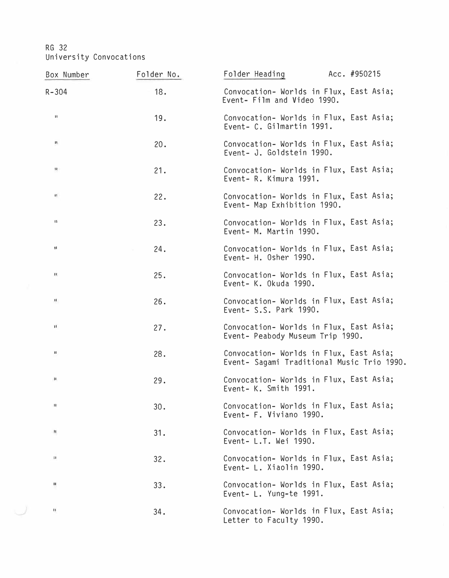| Box Number           | Folder No. | Folder Heading<br>Acc. #950215                                                        |
|----------------------|------------|---------------------------------------------------------------------------------------|
| $R - 304$            | 18.        | Convocation- Worlds in Flux, East Asia;<br>Event- Film and Video 1990.                |
| $\pmb{\ast}$         | 19.        | Convocation- Worlds in Flux, East Asia;<br>Event- C. Gilmartin 1991.                  |
| и                    | 20.        | Convocation- Worlds in Flux, East Asia;<br>Event- J. Goldstein 1990.                  |
| 11                   | 21.        | Convocation- Worlds in Flux, East Asia;<br>Event- R. Kimura 1991.                     |
| $\mathbf{H}$         | 22.        | Convocation- Worlds in Flux, East Asia;<br>Event- Map Exhibition 1990.                |
| $\{1\}$              | 23.        | Convocation- Worlds in Flux, East Asia;<br>Event- M. Martin 1990.                     |
| $\pmb{\mathfrak{m}}$ | 24.        | Convocation- Worlds in Flux, East Asia;<br>Event- H. Osher 1990.                      |
| $\mathbf{H}$         | 25.        | Convocation- Worlds in Flux, East Asia;<br>Event- K. Okuda 1990.                      |
| п.                   | 26.        | Convocation- Worlds in Flux, East Asia;<br>Event- S.S. Park 1990.                     |
| $\mathbf{H}$         | 27.        | Convocation- Worlds in Flux, East Asia;<br>Event- Peabody Museum Trip 1990.           |
| п                    | 28.        | Convocation- Worlds in Flux, East Asia;<br>Event- Sagami Traditional Music Trio 1990. |
| $\mathbf H$          | 29.        | Convocation- Worlds in Flux, East Asia;<br>Event- K. Smith 1991.                      |
| $^{\dagger}$         | 30.        | Convocation- Worlds in Flux, East Asia;<br>Event- F. Viviano 1990.                    |
| п                    | 31.        | Convocation- Worlds in Flux, East Asia;<br>Event- L.T. Wei 1990.                      |
| и                    | 32.        | Convocation- Worlds in Flux, East Asia;<br>Event- L. Xiaolin 1990.                    |
| п                    | 33.        | Convocation- Worlds in Flux, East Asia;<br>Event- L. Yung-te 1991.                    |
| и                    | 34.        | Convocation- Worlds in Flux, East Asia;<br>Letter to Faculty 1990.                    |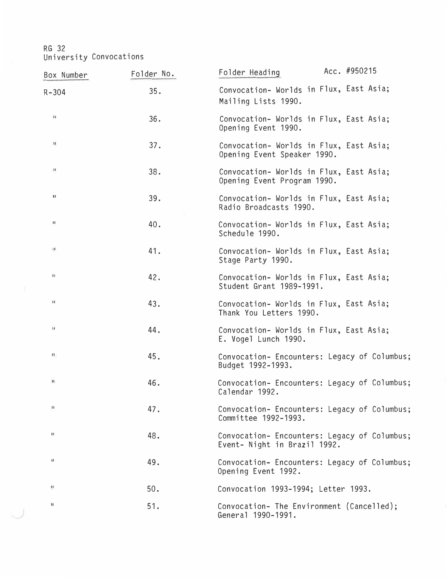| Box Number         | Folder No. | Acc. #950215<br>Folder Heading                                               |
|--------------------|------------|------------------------------------------------------------------------------|
| $R - 304$          | 35.        | Convocation- Worlds in Flux, East Asia;<br>Mailing Lists 1990.               |
| $\mathbf{I}$       | 36.        | Convocation- Worlds in Flux, East Asia;<br>Opening Event 1990.               |
| $\mathbf{H}$       | 37.        | Convocation- Worlds in Flux, East Asia;<br>Opening Event Speaker 1990.       |
| Ħ                  | 38.        | Convocation- Worlds in Flux, East Asia;<br>Opening Event Program 1990.       |
| $\mathbf{1}$       | 39.        | Convocation- Worlds in Flux, East Asia;<br>Radio Broadcasts 1990.            |
| $\mathbf H$        | 40.        | Convocation- Worlds in Flux, East Asia;<br>Schedule 1990.                    |
| $\boldsymbol{\Pi}$ | 41.        | Convocation- Worlds in Flux, East Asia;<br>Stage Party 1990.                 |
| $\mathbf{H}$       | 42.        | Convocation- Worlds in Flux, East Asia;<br>Student Grant 1989-1991.          |
| $\mathbf{H}$       | 43.        | Convocation- Worlds in Flux, East Asia;<br>Thank You Letters 1990.           |
| $\mathbf{H}$       | 44.        | Convocation- Worlds in Flux, East Asia;<br>E. Vogel Lunch 1990.              |
| $13 -$             | 45.        | Convocation- Encounters: Legacy of Columbus;<br>Budget 1992-1993.            |
| п                  | 46.        | Convocation- Encounters: Legacy of Columbus;<br>Calendar 1992.               |
| $\mathbf{1}$       | 47.        | Convocation- Encounters: Legacy of Columbus;<br>Committee 1992-1993.         |
| $\mathbf{H}$       | 48.        | Convocation- Encounters: Legacy of Columbus;<br>Event- Night in Brazil 1992. |
| п                  | 49.        | Convocation- Encounters: Legacy of Columbus;<br>Opening Event 1992.          |
| u                  | 50.        | Convocation 1993-1994; Letter 1993.                                          |
| $\mathbf{H}$       | 51.        | Convocation- The Environment (Cancelled);<br>General 1990-1991.              |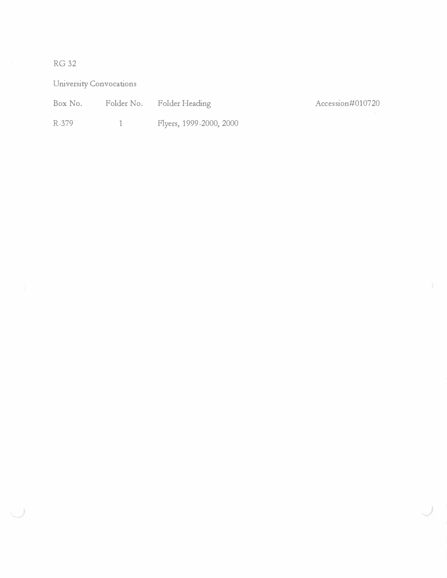## RG32

University Convocations

Box No. Folder No. Folder Heading Accession#010720

*)* 

R-379 1 Flyers, 1999-2000, 2000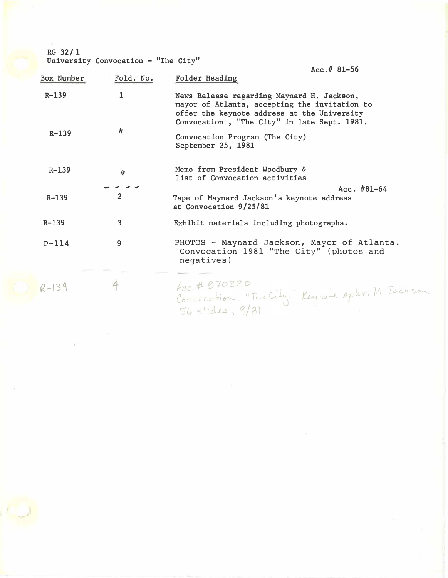**RG 32/ 1** 

i.

University Convocation - "The City"

|            |                | $Acc.f. 81 - 56$                                                                                                                                                                          |
|------------|----------------|-------------------------------------------------------------------------------------------------------------------------------------------------------------------------------------------|
| Box Number | Fold. No.      | Folder Heading                                                                                                                                                                            |
| $R - 139$  | 1              | News Release regarding Maynard H. Jackson,<br>mayor of Atlanta, accepting the invitation to<br>offer the keynote address at the University<br>Convocation, "The City" in late Sept. 1981. |
| $R - 139$  | $\eta$         | Convocation Program (The City)<br>September 25, 1981                                                                                                                                      |
| $R - 139$  | n              | Memo from President Woodbury &<br>list of Convocation activities                                                                                                                          |
|            |                | Acc. $#81-64$                                                                                                                                                                             |
| $R - 139$  | $\overline{2}$ | Tape of Maynard Jackson's keynote address<br>at Convocation 9/25/81                                                                                                                       |
| $R - 139$  | 3              | Exhibit materials including photographs.                                                                                                                                                  |
| $P-114$    | 9              | PHOTOS - Maynard Jackson, Mayor of Atlanta.<br>Convocation 1981 "The City" (photos and<br>negatives)                                                                                      |
|            |                |                                                                                                                                                                                           |
| $R-139$    |                | Aoc. # 870320<br>Convecation, "The City." Keynote opter. M. Jackson,                                                                                                                      |